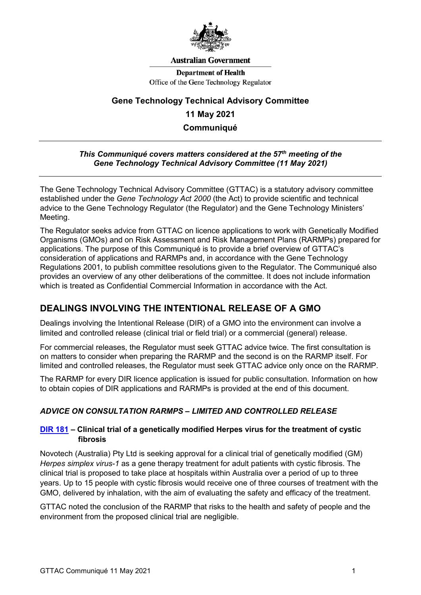

#### **Australian Government**

**Department of Health** Office of the Gene Technology Regulator

# **Gene Technology Technical Advisory Committee 11 May 2021 Communiqué**

#### *This Communiqué covers matters considered at the 57th meeting of the Gene Technology Technical Advisory Committee (11 May 2021)*

The Gene Technology Technical Advisory Committee (GTTAC) is a statutory advisory committee established under the *Gene Technology Act 2000* (the Act) to provide scientific and technical advice to the Gene Technology Regulator (the Regulator) and the Gene Technology Ministers' Meeting.

The Regulator seeks advice from GTTAC on licence applications to work with Genetically Modified Organisms (GMOs) and on Risk Assessment and Risk Management Plans (RARMPs) prepared for applications. The purpose of this Communiqué is to provide a brief overview of GTTAC's consideration of applications and RARMPs and, in accordance with the Gene Technology Regulations 2001, to publish committee resolutions given to the Regulator. The Communiqué also provides an overview of any other deliberations of the committee. It does not include information which is treated as Confidential Commercial Information in accordance with the Act.

## **DEALINGS INVOLVING THE INTENTIONAL RELEASE OF A GMO**

Dealings involving the Intentional Release (DIR) of a GMO into the environment can involve a limited and controlled release (clinical trial or field trial) or a commercial (general) release.

For commercial releases, the Regulator must seek GTTAC advice twice. The first consultation is on matters to consider when preparing the RARMP and the second is on the RARMP itself. For limited and controlled releases, the Regulator must seek GTTAC advice only once on the RARMP.

The RARMP for every DIR licence application is issued for public consultation. Information on how to obtain copies of DIR applications and RARMPs is provided at the end of this document.

### *ADVICE ON CONSULTATION RARMPS – LIMITED AND CONTROLLED RELEASE*

#### **[DIR 181](http://www.ogtr.gov.au/internet/ogtr/publishing.nsf/Content/DIR181) – Clinical trial of a genetically modified Herpes virus for the treatment of cystic fibrosis**

Novotech (Australia) Pty Ltd is seeking approval for a clinical trial of genetically modified (GM) *Herpes simplex virus-1* as a gene therapy treatment for adult patients with cystic fibrosis. The clinical trial is proposed to take place at hospitals within Australia over a period of up to three years. Up to 15 people with cystic fibrosis would receive one of three courses of treatment with the GMO, delivered by inhalation, with the aim of evaluating the safety and efficacy of the treatment.

GTTAC noted the conclusion of the RARMP that risks to the health and safety of people and the environment from the proposed clinical trial are negligible.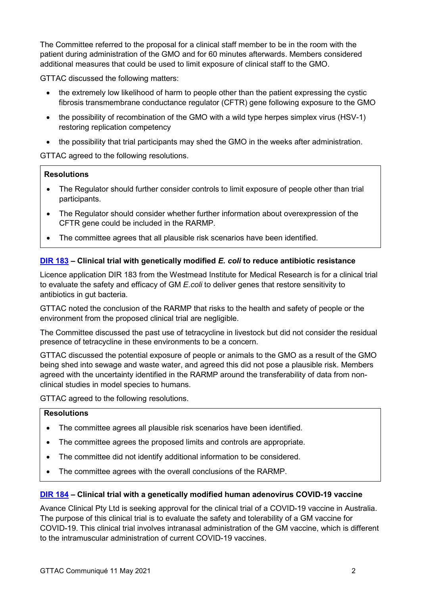The Committee referred to the proposal for a clinical staff member to be in the room with the patient during administration of the GMO and for 60 minutes afterwards. Members considered additional measures that could be used to limit exposure of clinical staff to the GMO.

GTTAC discussed the following matters:

- the extremely low likelihood of harm to people other than the patient expressing the cystic fibrosis transmembrane conductance regulator (CFTR) gene following exposure to the GMO
- the possibility of recombination of the GMO with a wild type herpes simplex virus (HSV-1) restoring replication competency
- the possibility that trial participants may shed the GMO in the weeks after administration.

GTTAC agreed to the following resolutions.

#### **Resolutions**

- The Regulator should further consider controls to limit exposure of people other than trial participants.
- The Regulator should consider whether further information about overexpression of the CFTR gene could be included in the RARMP.
- The committee agrees that all plausible risk scenarios have been identified.

#### **[DIR 183](http://www.ogtr.gov.au/internet/ogtr/publishing.nsf/Content/DIR183) – Clinical trial with genetically modified** *E. coli* **to reduce antibiotic resistance**

Licence application DIR 183 from the Westmead Institute for Medical Research is for a clinical trial to evaluate the safety and efficacy of GM *E.coli* to deliver genes that restore sensitivity to antibiotics in gut bacteria.

GTTAC noted the conclusion of the RARMP that risks to the health and safety of people or the environment from the proposed clinical trial are negligible.

The Committee discussed the past use of tetracycline in livestock but did not consider the residual presence of tetracycline in these environments to be a concern.

GTTAC discussed the potential exposure of people or animals to the GMO as a result of the GMO being shed into sewage and waste water, and agreed this did not pose a plausible risk. Members agreed with the uncertainty identified in the RARMP around the transferability of data from nonclinical studies in model species to humans.

GTTAC agreed to the following resolutions.

### **Resolutions**

- The committee agrees all plausible risk scenarios have been identified.
- The committee agrees the proposed limits and controls are appropriate.
- The committee did not identify additional information to be considered.
- The committee agrees with the overall conclusions of the RARMP.

#### **[DIR 184](http://www.ogtr.gov.au/internet/ogtr/publishing.nsf/Content/DIR184) – Clinical trial with a genetically modified human adenovirus COVID-19 vaccine**

Avance Clinical Pty Ltd is seeking approval for the clinical trial of a COVID-19 vaccine in Australia. The purpose of this clinical trial is to evaluate the safety and tolerability of a GM vaccine for COVID-19. This clinical trial involves intranasal administration of the GM vaccine, which is different to the intramuscular administration of current COVID-19 vaccines.